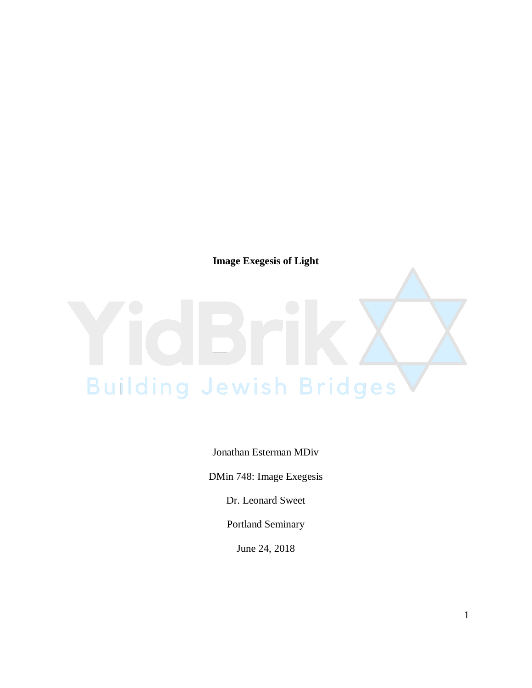**Image Exegesis of Light**

## **Building Jewish Bridges**

Jonathan Esterman MDiv

DMin 748: Image Exegesis

Dr. Leonard Sweet

Portland Seminary

June 24, 2018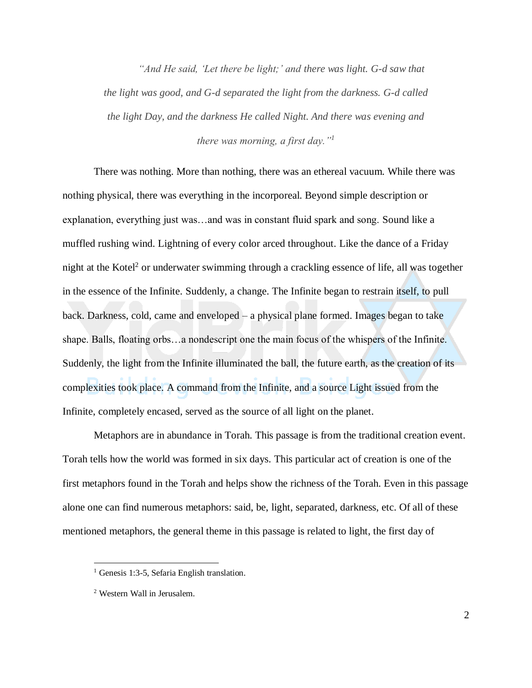*"And He said, 'Let there be light;' and there was light. G-d saw that the light was good, and G-d separated the light from the darkness. G-d called the light Day, and the darkness He called Night. And there was evening and there was morning, a first day."<sup>1</sup>*

There was nothing. More than nothing, there was an ethereal vacuum. While there was nothing physical, there was everything in the incorporeal. Beyond simple description or explanation, everything just was…and was in constant fluid spark and song. Sound like a muffled rushing wind. Lightning of every color arced throughout. Like the dance of a Friday night at the Kotel<sup>2</sup> or underwater swimming through a crackling essence of life, all was together in the essence of the Infinite. Suddenly, a change. The Infinite began to restrain itself, to pull back. Darkness, cold, came and enveloped – a physical plane formed. Images began to take shape. Balls, floating orbs…a nondescript one the main focus of the whispers of the Infinite. Suddenly, the light from the Infinite illuminated the ball, the future earth, as the creation of its complexities took place. A command from the Infinite, and a source Light issued from the Infinite, completely encased, served as the source of all light on the planet.

Metaphors are in abundance in Torah. This passage is from the traditional creation event. Torah tells how the world was formed in six days. This particular act of creation is one of the first metaphors found in the Torah and helps show the richness of the Torah. Even in this passage alone one can find numerous metaphors: said, be, light, separated, darkness, etc. Of all of these mentioned metaphors, the general theme in this passage is related to light, the first day of

 $\overline{a}$ 

<sup>&</sup>lt;sup>1</sup> Genesis 1:3-5, Sefaria English translation.

<sup>2</sup> Western Wall in Jerusalem.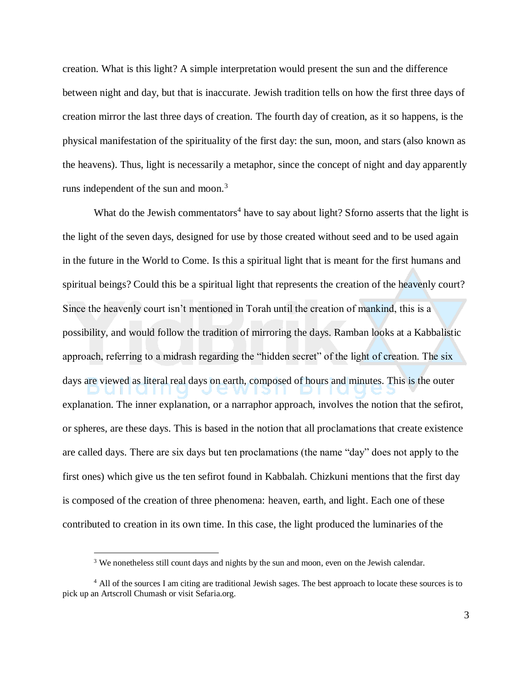creation. What is this light? A simple interpretation would present the sun and the difference between night and day, but that is inaccurate. Jewish tradition tells on how the first three days of creation mirror the last three days of creation. The fourth day of creation, as it so happens, is the physical manifestation of the spirituality of the first day: the sun, moon, and stars (also known as the heavens). Thus, light is necessarily a metaphor, since the concept of night and day apparently runs independent of the sun and moon.<sup>3</sup>

What do the Jewish commentators<sup>4</sup> have to say about light? Sforno asserts that the light is the light of the seven days, designed for use by those created without seed and to be used again in the future in the World to Come. Is this a spiritual light that is meant for the first humans and spiritual beings? Could this be a spiritual light that represents the creation of the heavenly court? Since the heavenly court isn't mentioned in Torah until the creation of mankind, this is a possibility, and would follow the tradition of mirroring the days. Ramban looks at a Kabbalistic approach, referring to a midrash regarding the "hidden secret" of the light of creation. The six days are viewed as literal real days on earth, composed of hours and minutes. This is the outer explanation. The inner explanation, or a narraphor approach, involves the notion that the sefirot, or spheres, are these days. This is based in the notion that all proclamations that create existence are called days. There are six days but ten proclamations (the name "day" does not apply to the first ones) which give us the ten sefirot found in Kabbalah. Chizkuni mentions that the first day is composed of the creation of three phenomena: heaven, earth, and light. Each one of these contributed to creation in its own time. In this case, the light produced the luminaries of the

 $\overline{a}$ 

<sup>&</sup>lt;sup>3</sup> We nonetheless still count days and nights by the sun and moon, even on the Jewish calendar.

<sup>&</sup>lt;sup>4</sup> All of the sources I am citing are traditional Jewish sages. The best approach to locate these sources is to pick up an Artscroll Chumash or visit Sefaria.org.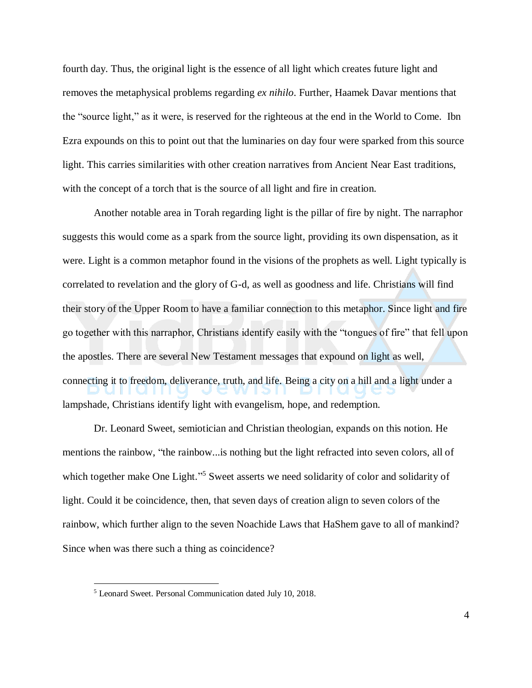fourth day. Thus, the original light is the essence of all light which creates future light and removes the metaphysical problems regarding *ex nihilo*. Further, Haamek Davar mentions that the "source light," as it were, is reserved for the righteous at the end in the World to Come. Ibn Ezra expounds on this to point out that the luminaries on day four were sparked from this source light. This carries similarities with other creation narratives from Ancient Near East traditions, with the concept of a torch that is the source of all light and fire in creation.

Another notable area in Torah regarding light is the pillar of fire by night. The narraphor suggests this would come as a spark from the source light, providing its own dispensation, as it were. Light is a common metaphor found in the visions of the prophets as well. Light typically is correlated to revelation and the glory of G-d, as well as goodness and life. Christians will find their story of the Upper Room to have a familiar connection to this metaphor. Since light and fire go together with this narraphor, Christians identify easily with the "tongues of fire" that fell upon the apostles. There are several New Testament messages that expound on light as well, connecting it to freedom, deliverance, truth, and life. Being a city on a hill and a light under a lampshade, Christians identify light with evangelism, hope, and redemption.

Dr. Leonard Sweet, semiotician and Christian theologian, expands on this notion. He mentions the rainbow, "the rainbow...is nothing but the light refracted into seven colors, all of which together make One Light."<sup>5</sup> Sweet asserts we need solidarity of color and solidarity of light. Could it be coincidence, then, that seven days of creation align to seven colors of the rainbow, which further align to the seven Noachide Laws that HaShem gave to all of mankind? Since when was there such a thing as coincidence?

 $\overline{a}$ 

<sup>5</sup> Leonard Sweet. Personal Communication dated July 10, 2018.